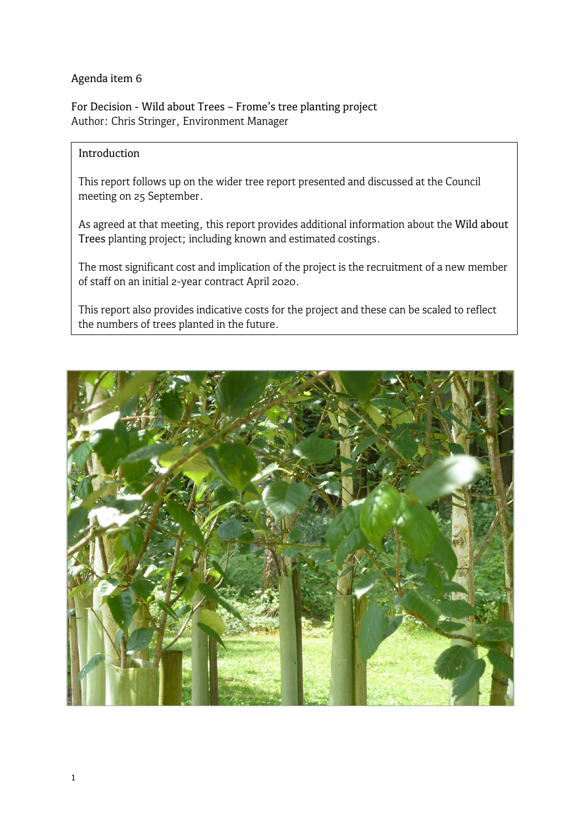#### Agenda item 6

For Decision - Wild about Trees – Frome's tree planting project Author: Chris Stringer, Environment Manager

### Introduction

This report follows up on the wider tree report presented and discussed at the Council meeting on 25 September.

As agreed at that meeting, this report provides additional information about the Wild about Trees planting project; including known and estimated costings.

The most significant cost and implication of the project is the recruitment of a new member of staff on an initial 2-year contract April 2020.

This report also provides indicative costs for the project and these can be scaled to reflect the numbers of trees planted in the future.

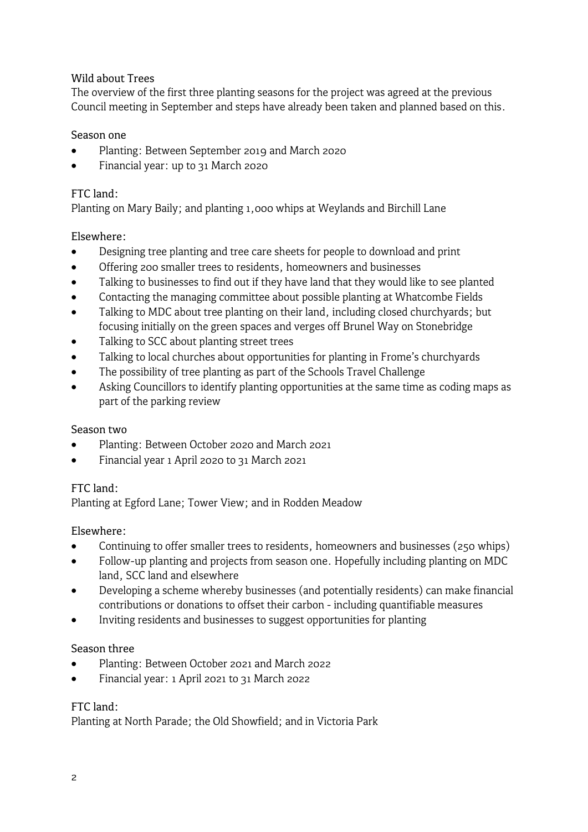### Wild about Trees

The overview of the first three planting seasons for the project was agreed at the previous Council meeting in September and steps have already been taken and planned based on this.

#### Season one

- Planting: Between September 2019 and March 2020
- Financial year: up to 31 March 2020

#### FTC land:

Planting on Mary Baily; and planting 1,000 whips at Weylands and Birchill Lane

#### Elsewhere:

- Designing tree planting and tree care sheets for people to download and print
- Offering 200 smaller trees to residents, homeowners and businesses
- Talking to businesses to find out if they have land that they would like to see planted
- Contacting the managing committee about possible planting at Whatcombe Fields
- Talking to MDC about tree planting on their land, including closed churchyards; but focusing initially on the green spaces and verges off Brunel Way on Stonebridge
- Talking to SCC about planting street trees
- Talking to local churches about opportunities for planting in Frome's churchyards
- The possibility of tree planting as part of the Schools Travel Challenge
- Asking Councillors to identify planting opportunities at the same time as coding maps as part of the parking review

#### Season two

- Planting: Between October 2020 and March 2021
- Financial year 1 April 2020 to 31 March 2021

#### $FTC$  land:

Planting at Egford Lane; Tower View; and in Rodden Meadow

#### Elsewhere:

- Continuing to offer smaller trees to residents, homeowners and businesses (250 whips)
- Follow-up planting and projects from season one. Hopefully including planting on MDC land, SCC land and elsewhere
- Developing a scheme whereby businesses (and potentially residents) can make financial contributions or donations to offset their carbon - including quantifiable measures
- Inviting residents and businesses to suggest opportunities for planting

#### Season three

- Planting: Between October 2021 and March 2022
- Financial year: 1 April 2021 to 31 March 2022

#### FTC land:

Planting at North Parade; the Old Showfield; and in Victoria Park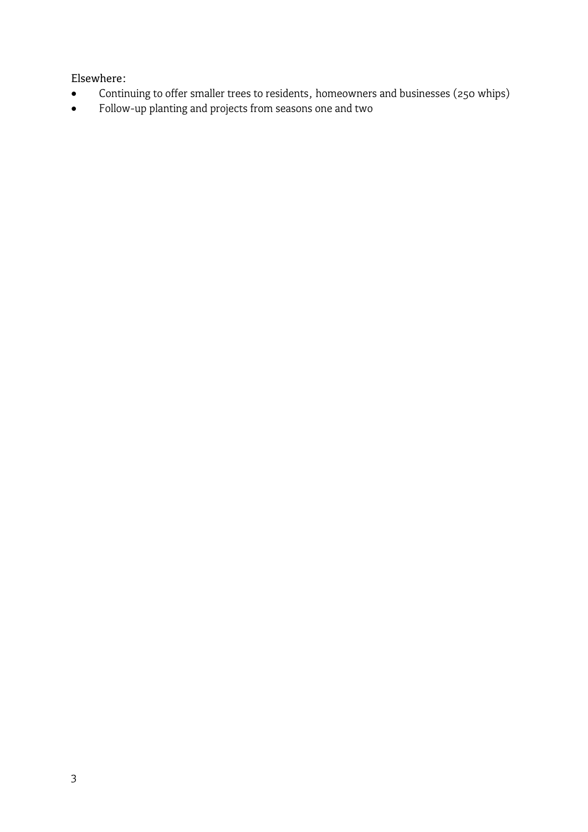Elsewhere:

- Continuing to offer smaller trees to residents, homeowners and businesses (250 whips)
- Follow-up planting and projects from seasons one and two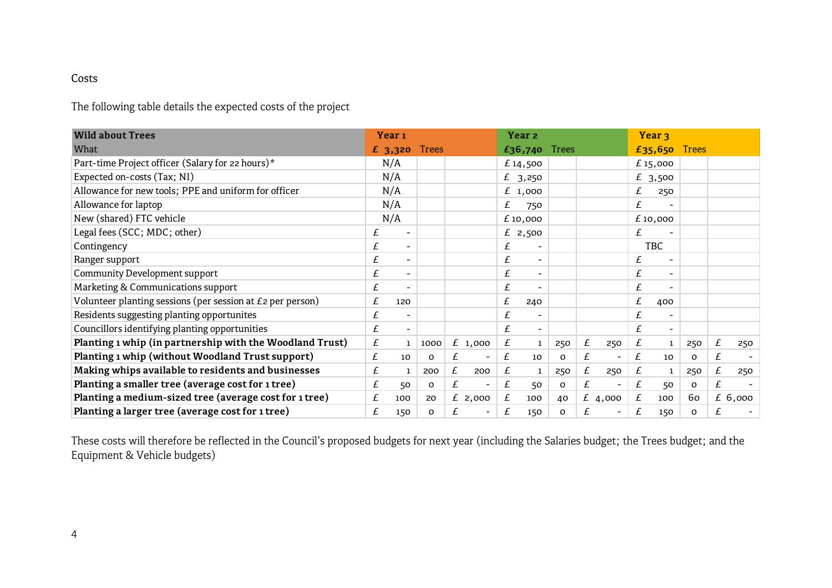### Costs

The following table details the expected costs of the project

| <b>Wild about Trees</b>                                    |   | Year <sub>1</sub>        |              |   |                              |   | Year <sub>2</sub>        |     |   |                          |   | Year <sub>3</sub>        |              |   |         |
|------------------------------------------------------------|---|--------------------------|--------------|---|------------------------------|---|--------------------------|-----|---|--------------------------|---|--------------------------|--------------|---|---------|
| What                                                       |   | £3,320                   | <b>Trees</b> |   |                              |   | £36,740 Trees            |     |   |                          |   | £35,650 Trees            |              |   |         |
| Part-time Project officer (Salary for 22 hours)*           |   | N/A                      |              |   |                              |   | £14,500                  |     |   |                          |   | £15,000                  |              |   |         |
| Expected on-costs (Tax; NI)                                |   | N/A                      |              |   |                              |   | £ $3,250$                |     |   |                          |   | £ 3,500                  |              |   |         |
| Allowance for new tools; PPE and uniform for officer       |   | N/A                      |              |   |                              |   | £1,000                   |     |   |                          | £ | 250                      |              |   |         |
| Allowance for laptop                                       |   | N/A                      |              |   |                              | £ | 750                      |     |   |                          | £ |                          |              |   |         |
| New (shared) FTC vehicle                                   |   | N/A                      |              |   |                              |   | £ 10,000                 |     |   |                          |   | £10,000                  |              |   |         |
| Legal fees (SCC; MDC; other)                               | £ | $\overline{\phantom{a}}$ |              |   |                              |   | £ 2,500                  |     |   |                          | £ |                          |              |   |         |
| Contingency                                                | £ | $\blacksquare$           |              |   |                              | £ |                          |     |   |                          |   | <b>TBC</b>               |              |   |         |
| Ranger support                                             | £ | $\blacksquare$           |              |   |                              | £ | $\overline{\phantom{a}}$ |     |   |                          | £ | $\overline{\phantom{a}}$ |              |   |         |
| <b>Community Development support</b>                       | £ | $\overline{\phantom{a}}$ |              |   |                              | £ | $\overline{\phantom{a}}$ |     |   |                          | £ |                          |              |   |         |
| Marketing & Communications support                         | £ | $\overline{\phantom{a}}$ |              |   |                              | £ | $\sim$                   |     |   |                          | £ |                          |              |   |         |
| Volunteer planting sessions (per session at £2 per person) | £ | 120                      |              |   |                              | £ | 240                      |     |   |                          | £ | 400                      |              |   |         |
| Residents suggesting planting opportunites                 | £ | $\blacksquare$           |              |   |                              | £ | $\overline{\phantom{a}}$ |     |   |                          | £ |                          |              |   |         |
| Councillors identifying planting opportunities             | £ | $\blacksquare$           |              |   |                              | £ | $\overline{\phantom{a}}$ |     |   |                          | £ |                          |              |   |         |
| Planting 1 whip (in partnership with the Woodland Trust)   | £ | $\mathbf 1$              | 1000         |   | £1,000                       | £ | $\mathbf{1}$             | 250 | £ | 250                      | £ | $\mathbf{1}$             | 250          | £ | 250     |
| Planting 1 whip (without Woodland Trust support)           | £ | 10                       | 0            | £ | $\qquad \qquad \blacksquare$ | £ | 10                       | 0   | £ | $\overline{\phantom{a}}$ | £ | 10                       | $\Omega$     | £ |         |
| Making whips available to residents and businesses         | £ | 1                        | 200          | £ | 200                          | £ | 1                        | 250 | £ | 250                      | £ | 1                        | 250          | £ | 250     |
| Planting a smaller tree (average cost for 1 tree)          | £ | 50                       | O            | £ | $\overline{\phantom{0}}$     | £ | 50                       | O   | £ | $\overline{\phantom{a}}$ | £ | 50                       | $\mathbf{o}$ | £ |         |
| Planting a medium-sized tree (average cost for 1 tree)     | £ | 100                      | 20           |   | £ 2,000                      | £ | 100                      | 40  |   | £ 4,000                  | £ | 100                      | 60           |   | £ 6,000 |
| Planting a larger tree (average cost for 1 tree)           | £ | 150                      | 0            | £ |                              | £ | 150                      | 0   | £ | Ξ.                       | £ | 150                      | o            | £ |         |

These costs will therefore be reflected in the Council's proposed budgets for next year (including the Salaries budget; the Trees budget; and the Equipment & Vehicle budgets)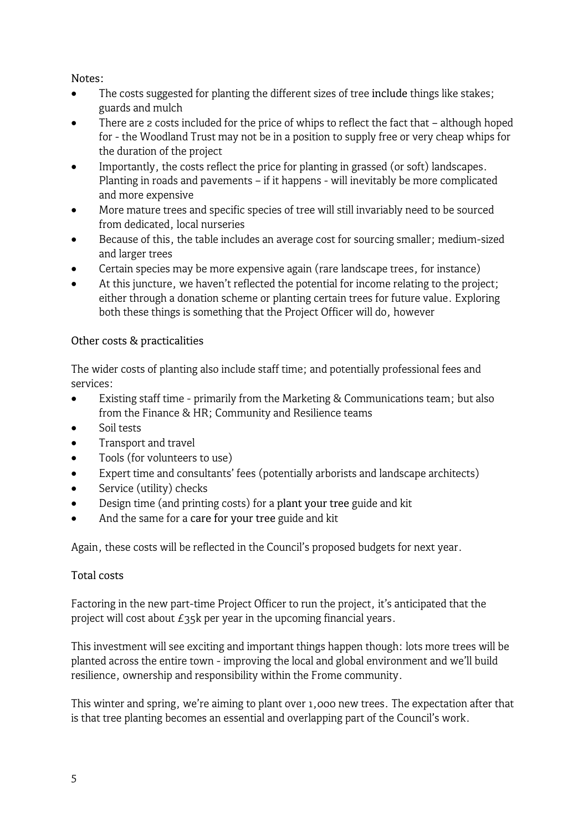# Notes:

- The costs suggested for planting the different sizes of tree include things like stakes; guards and mulch
- There are 2 costs included for the price of whips to reflect the fact that although hoped for - the Woodland Trust may not be in a position to supply free or very cheap whips for the duration of the project
- Importantly, the costs reflect the price for planting in grassed (or soft) landscapes. Planting in roads and pavements – if it happens - will inevitably be more complicated and more expensive
- More mature trees and specific species of tree will still invariably need to be sourced from dedicated, local nurseries
- Because of this, the table includes an average cost for sourcing smaller; medium-sized and larger trees
- Certain species may be more expensive again (rare landscape trees, for instance)
- At this juncture, we haven't reflected the potential for income relating to the project; either through a donation scheme or planting certain trees for future value. Exploring both these things is something that the Project Officer will do, however

# Other costs & practicalities

The wider costs of planting also include staff time; and potentially professional fees and services:

- Existing staff time primarily from the Marketing & Communications team; but also from the Finance & HR; Community and Resilience teams
- Soil tests
- Transport and travel
- Tools (for volunteers to use)
- Expert time and consultants' fees (potentially arborists and landscape architects)
- Service (utility) checks
- Design time (and printing costs) for a plant your tree guide and kit
- And the same for a care for your tree guide and kit

Again, these costs will be reflected in the Council's proposed budgets for next year.

# Total costs

Factoring in the new part-time Project Officer to run the project, it's anticipated that the project will cost about £35k per year in the upcoming financial years.

This investment will see exciting and important things happen though: lots more trees will be planted across the entire town - improving the local and global environment and we'll build resilience, ownership and responsibility within the Frome community.

This winter and spring, we're aiming to plant over 1,000 new trees. The expectation after that is that tree planting becomes an essential and overlapping part of the Council's work.